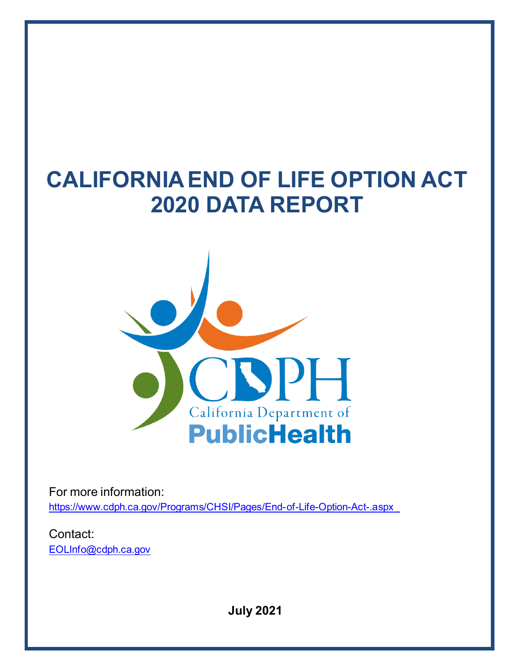# **CALIFORNIA END OF LIFE OPTION ACT 2020 DATA REPORT**



For more information: <https://www.cdph.ca.gov/Programs/CHSI/Pages/End-of-Life-Option-Act-.aspx>

Contact: [EOLInfo@cdph.ca.gov](mailto:EOLInfo@cdph.ca.gov)

**July 2021**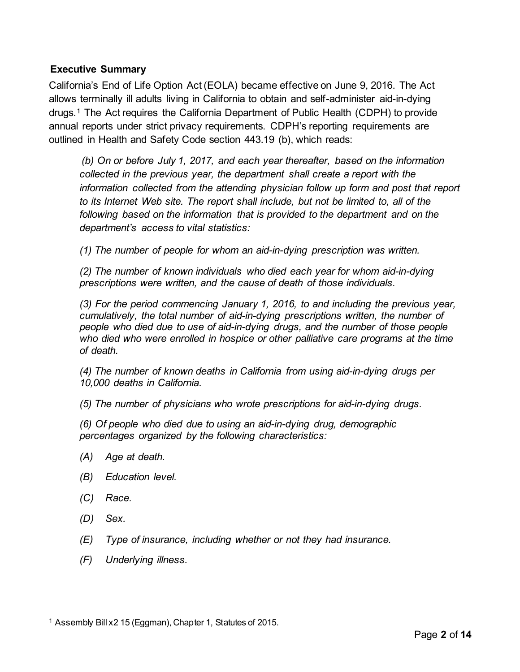### **Executive Summary**

California's End of Life Option Act (EOLA) became effective on June 9, 2016. The Act allows terminally ill adults living in California to obtain and self-administer aid-in-dying drugs.[1](#page-1-0) The Act requires the California Department of Public Health (CDPH) to provide annual reports under strict privacy requirements. CDPH's reporting requirements are outlined in Health and Safety Code section 443.19 (b), which reads:

*(b) On or before July 1, 2017, and each year thereafter, based on the information collected in the previous year, the department shall create a report with the information collected from the attending physician follow up form and post that report to its Internet Web site. The report shall include, but not be limited to, all of the following based on the information that is provided to the department and on the department's access to vital statistics:*

*(1) The number of people for whom an aid-in-dying prescription was written.*

*(2) The number of known individuals who died each year for whom aid-in-dying prescriptions were written, and the cause of death of those individuals.*

*(3) For the period commencing January 1, 2016, to and including the previous year, cumulatively, the total number of aid-in-dying prescriptions written, the number of people who died due to use of aid-in-dying drugs, and the number of those people who died who were enrolled in hospice or other palliative care programs at the time of death.*

*(4) The number of known deaths in California from using aid-in-dying drugs per 10,000 deaths in California.*

*(5) The number of physicians who wrote prescriptions for aid-in-dying drugs.*

*(6) Of people who died due to using an aid-in-dying drug, demographic percentages organized by the following characteristics:*

- *(A) Age at death.*
- *(B) Education level.*
- *(C) Race.*
- *(D) Sex.*
- *(E) Type of insurance, including whether or not they had insurance.*
- *(F) Underlying illness.*

<span id="page-1-0"></span><sup>&</sup>lt;sup>1</sup> Assembly Bill x2 15 (Eggman), Chapter 1, Statutes of 2015.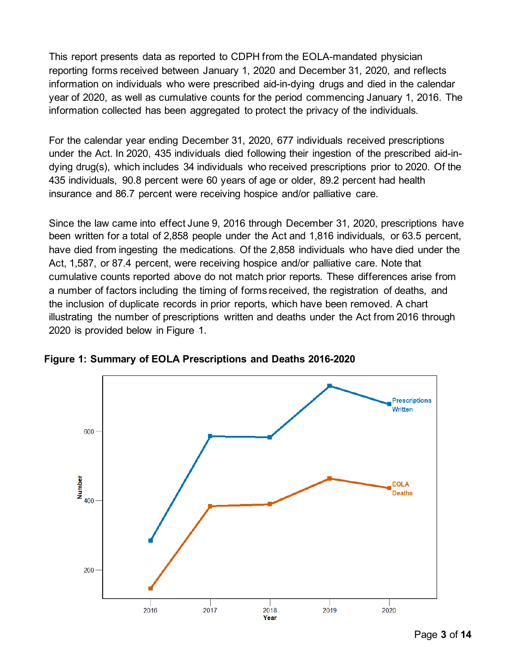This report presents data as reported to CDPH from the EOLA-mandated physician reporting forms received between January 1, 2020 and December 31, 2020, and reflects information on individuals who were prescribed aid-in-dying drugs and died in the calendar year of 2020, as well as cumulative counts for the period commencing January 1, 2016. The information collected has been aggregated to protect the privacy of the individuals.

For the calendar year ending December 31, 2020, 677 individuals received prescriptions under the Act. In 2020, 435 individuals died following their ingestion of the prescribed aid-indying drug(s), which includes 34 individuals who received prescriptions prior to 2020. Of the 435 individuals, 90.8 percent were 60 years of age or older, 89.2 percent had health insurance and 86.7 percent were receiving hospice and/or palliative care.

Since the law came into effect June 9, 2016 through December 31, 2020, prescriptions have been written for a total of 2,858 people under the Act and 1,816 individuals, or 63.5 percent, have died from ingesting the medications. Of the 2,858 individuals who have died under the Act, 1,587, or 87.4 percent, were receiving hospice and/or palliative care. Note that cumulative counts reported above do not match prior reports. These differences arise from a number of factors including the timing of forms received, the registration of deaths, and the inclusion of duplicate records in prior reports, which have been removed. A chart illustrating the number of prescriptions written and deaths under the Act from 2016 through 2020 is provided below in [Figure 1.](#page-2-0)



<span id="page-2-0"></span>**Figure 1: Summary of EOLA Prescriptions and Deaths 2016-2020**

Page **3** of **14**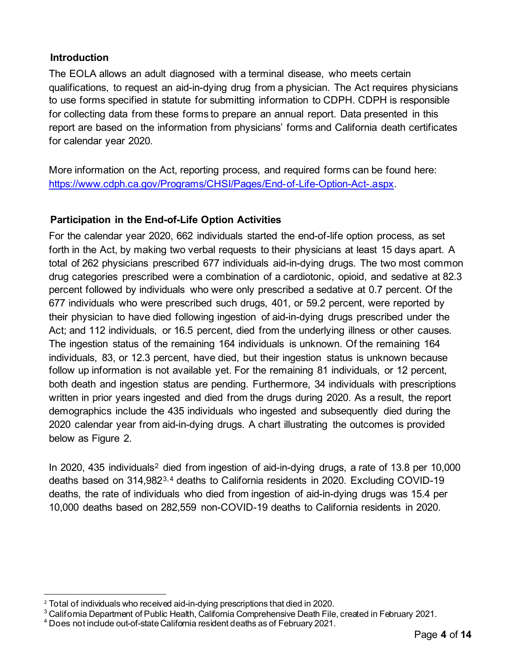## **Introduction**

The EOLA allows an adult diagnosed with a terminal disease, who meets certain qualifications, to request an aid-in-dying drug from a physician. The Act requires physicians to use forms specified in statute for submitting information to CDPH. CDPH is responsible for collecting data from these forms to prepare an annual report. Data presented in this report are based on the information from physicians' forms and California death certificates for calendar year 2020.

More information on the Act, reporting process, and required forms can be found here: [https://www.cdph.ca.gov/Programs/CHSI/Pages/End-of-Life-Option-Act-.aspx.](https://www.cdph.ca.gov/Programs/CHSI/Pages/End-of-Life-Option-Act-.aspx) 

# **Participation in the End-of-Life Option Activities**

For the calendar year 2020, 662 individuals started the end-of-life option process, as set forth in the Act, by making two verbal requests to their physicians at least 15 days apart. A total of 262 physicians prescribed 677 individuals aid-in-dying drugs. The two most common drug categories prescribed were a combination of a cardiotonic, opioid, and sedative at 82.3 percent followed by individuals who were only prescribed a sedative at 0.7 percent. Of the 677 individuals who were prescribed such drugs, 401, or 59.2 percent, were reported by their physician to have died following ingestion of aid-in-dying drugs prescribed under the Act; and 112 individuals, or 16.5 percent, died from the underlying illness or other causes. The ingestion status of the remaining 164 individuals is unknown. Of the remaining 164 individuals, 83, or 12.3 percent, have died, but their ingestion status is unknown because follow up information is not available yet. For the remaining 81 individuals, or 12 percent, both death and ingestion status are pending. Furthermore, 34 individuals with prescriptions written in prior years ingested and died from the drugs during 2020. As a result, the report demographics include the 435 individuals who ingested and subsequently died during the 2020 calendar year from aid-in-dying drugs. A chart illustrating the outcomes is provided below as [Figure 2.](#page-3-0)

<span id="page-3-0"></span>In [2](#page-3-1)020, 435 individuals<sup>2</sup> died from ingestion of aid-in-dying drugs, a rate of 13.8 per 10,000 deaths based on 314,982[3](#page-3-2),[4](#page-3-3) deaths to California residents in 2020. Excluding COVID-19 deaths, the rate of individuals who died from ingestion of aid-in-dying drugs was 15.4 per 10,000 deaths based on 282,559 non-COVID-19 deaths to California residents in 2020.

<span id="page-3-1"></span><sup>&</sup>lt;sup>2</sup> Total of individuals who received aid-in-dying prescriptions that died in 2020.

<span id="page-3-2"></span><sup>&</sup>lt;sup>3</sup> California Department of Public Health, California Comprehensive Death File, created in February 2021.

<span id="page-3-3"></span><sup>4</sup> Does not include out-of-state California resident deaths as of February 2021.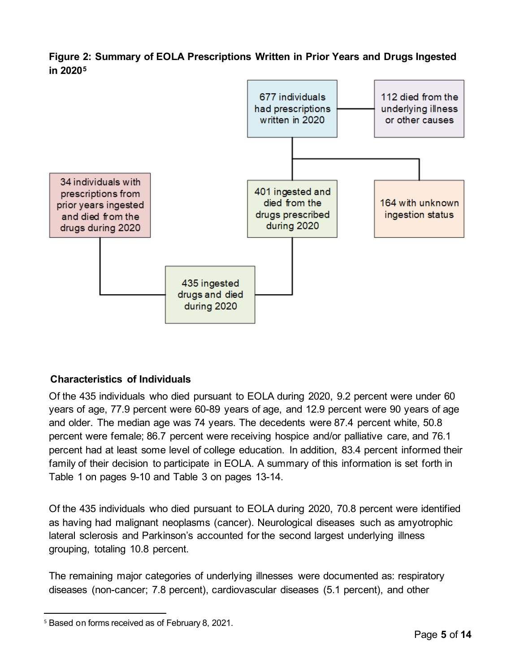## **Figure 2: Summary of EOLA Prescriptions Written in Prior Years and Drugs Ingested in 2020[5](#page-4-0)**



## **Characteristics of Individuals**

Of the 435 individuals who died pursuant to EOLA during 2020, 9.2 percent were under 60 years of age, 77.9 percent were 60-89 years of age, and 12.9 percent were 90 years of age and older. The median age was 74 years. The decedents were 87.4 percent white, 50.8 percent were female; 86.7 percent were receiving hospice and/or palliative care, and 76.1 percent had at least some level of college education. In addition, 83.4 percent informed their family of their decision to participate in EOLA. A summary of this information is set forth in [Table 1](#page-8-0) on pages [9-](#page-8-0)[10](#page-9-0) and [Table 3](#page-12-0) on pages [13-](#page-12-0)[14.](#page-13-0) 

Of the 435 individuals who died pursuant to EOLA during 2020, 70.8 percent were identified as having had malignant neoplasms (cancer). Neurological diseases such as amyotrophic lateral sclerosis and Parkinson's accounted for the second largest underlying illness grouping, totaling 10.8 percent.

The remaining major categories of underlying illnesses were documented as: respiratory diseases (non-cancer; 7.8 percent), cardiovascular diseases (5.1 percent), and other

<span id="page-4-0"></span><sup>&</sup>lt;sup>5</sup> Based on forms received as of February 8, 2021.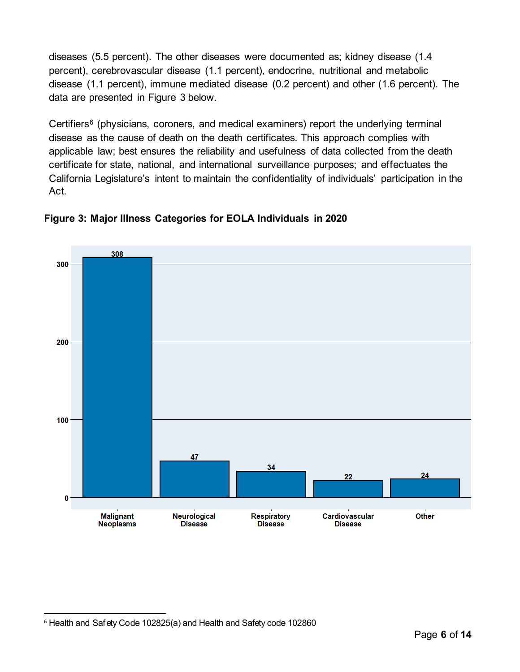diseases (5.5 percent). The other diseases were documented as; kidney disease (1.4 percent), cerebrovascular disease (1.1 percent), endocrine, nutritional and metabolic disease (1.1 percent), immune mediated disease (0.2 percent) and other (1.6 percent). The data are presented in [Figure 3](#page-5-0) below.

Certifiers<sup>[6](#page-5-1)</sup> (physicians, coroners, and medical examiners) report the underlying terminal disease as the cause of death on the death certificates. This approach complies with applicable law; best ensures the reliability and usefulness of data collected from the death certificate for state, national, and international surveillance purposes; and effectuates the California Legislature's intent to maintain the confidentiality of individuals' participation in the Act.



## <span id="page-5-0"></span>**Figure 3: Major Illness Categories for EOLA Individuals in 2020**

<span id="page-5-1"></span><sup>6</sup> Health and Safety Code 102825(a) and Health and Safety code 102860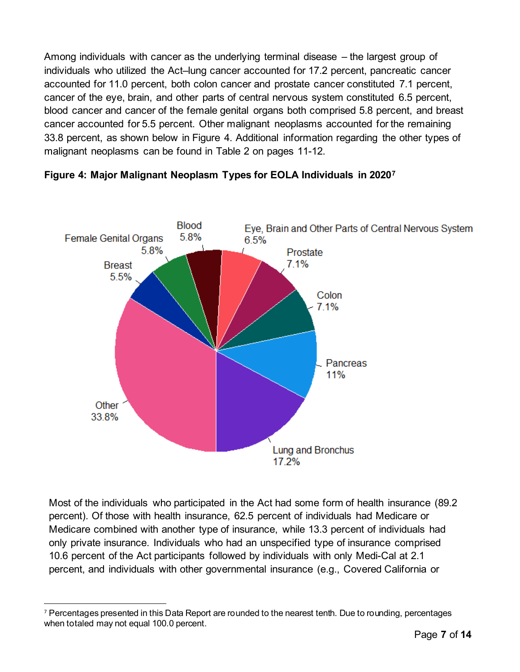Among individuals with cancer as the underlying terminal disease – the largest group of individuals who utilized the Act–lung cancer accounted for 17.2 percent, pancreatic cancer accounted for 11.0 percent, both colon cancer and prostate cancer constituted 7.1 percent, cancer of the eye, brain, and other parts of central nervous system constituted 6.5 percent, blood cancer and cancer of the female genital organs both comprised 5.8 percent, and breast cancer accounted for 5.5 percent. Other malignant neoplasms accounted for the remaining 33.8 percent, as shown below in [Figure 4.](#page-6-0) Additional information regarding the other types of malignant neoplasms can be found in [Table 2](#page-10-0) on pages [11-](#page-10-0)[12.](#page-11-0)



## <span id="page-6-0"></span>**Figure 4: Major Malignant Neoplasm Types for EOLA Individuals in 2020[7](#page-6-1)**

Most of the individuals who participated in the Act had some form of health insurance (89.2 percent). Of those with health insurance, 62.5 percent of individuals had Medicare or Medicare combined with another type of insurance, while 13.3 percent of individuals had only private insurance. Individuals who had an unspecified type of insurance comprised 10.6 percent of the Act participants followed by individuals with only Medi-Cal at 2.1 percent, and individuals with other governmental insurance (e.g., Covered California or

<span id="page-6-1"></span><sup>7</sup> Percentages presented in this Data Report are rounded to the nearest tenth. Due to rounding, percentages when totaled may not equal 100.0 percent.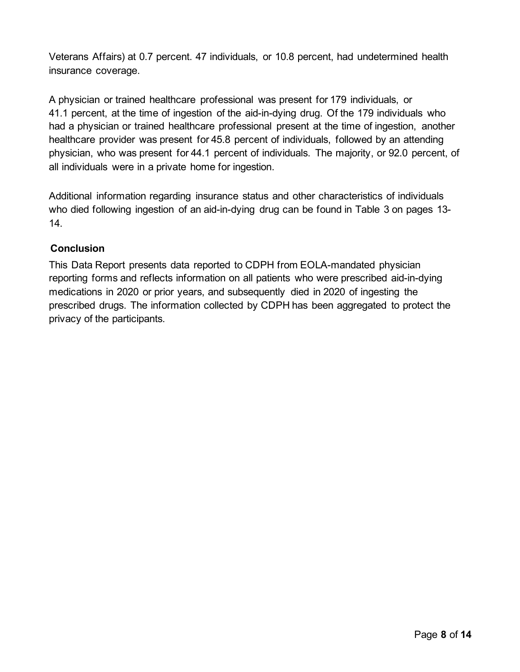Veterans Affairs) at 0.7 percent. 47 individuals, or 10.8 percent, had undetermined health insurance coverage.

A physician or trained healthcare professional was present for 179 individuals, or 41.1 percent, at the time of ingestion of the aid-in-dying drug. Of the 179 individuals who had a physician or trained healthcare professional present at the time of ingestion, another healthcare provider was present for 45.8 percent of individuals, followed by an attending physician, who was present for 44.1 percent of individuals. The majority, or 92.0 percent, of all individuals were in a private home for ingestion.

Additional information regarding insurance status and other characteristics of individuals who died following ingestion of an aid-in-dying drug can be found in Table 3 on pages 13- 14.

# **Conclusion**

This Data Report presents data reported to CDPH from EOLA-mandated physician reporting forms and reflects information on all patients who were prescribed aid-in-dying medications in 2020 or prior years, and subsequently died in 2020 of ingesting the prescribed drugs. The information collected by CDPH has been aggregated to protect the privacy of the participants.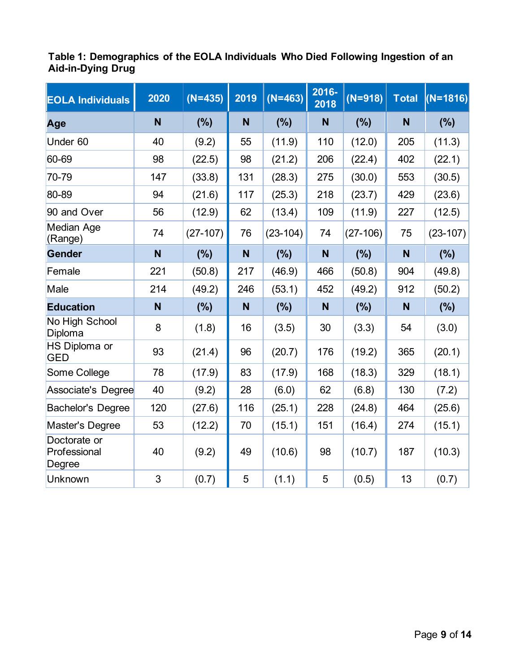## <span id="page-8-0"></span>**Table 1: Demographics of the EOLA Individuals Who Died Following Ingestion of an Aid-in-Dying Drug**

| <b>EOLA Individuals</b>                | 2020 | $(N=435)$  | 2019 | $(N=463)$  | 2016-<br>2018 | $(N=918)$  | <b>Total</b> | $(N=1816)$ |
|----------------------------------------|------|------------|------|------------|---------------|------------|--------------|------------|
| Age                                    | N    | (%)        | N    | (%)        | N             | (%)        | N            | (%)        |
| Under 60                               | 40   | (9.2)      | 55   | (11.9)     | 110           | (12.0)     | 205          | (11.3)     |
| 60-69                                  | 98   | (22.5)     | 98   | (21.2)     | 206           | (22.4)     | 402          | (22.1)     |
| 70-79                                  | 147  | (33.8)     | 131  | (28.3)     | 275           | (30.0)     | 553          | (30.5)     |
| 80-89                                  | 94   | (21.6)     | 117  | (25.3)     | 218           | (23.7)     | 429          | (23.6)     |
| 90 and Over                            | 56   | (12.9)     | 62   | (13.4)     | 109           | (11.9)     | 227          | (12.5)     |
| Median Age<br>(Range)                  | 74   | $(27-107)$ | 76   | $(23-104)$ | 74            | $(27-106)$ | 75           | $(23-107)$ |
| <b>Gender</b>                          | N    | (%)        | N    | (%)        | N             | (%)        | N            | (%)        |
| Female                                 | 221  | (50.8)     | 217  | (46.9)     | 466           | (50.8)     | 904          | (49.8)     |
| Male                                   | 214  | (49.2)     | 246  | (53.1)     | 452           | (49.2)     | 912          | (50.2)     |
| <b>Education</b>                       | N    | (%)        | N    | (%)        | N             | (%)        | N            | (%)        |
| No High School<br>Diploma              | 8    | (1.8)      | 16   | (3.5)      | 30            | (3.3)      | 54           | (3.0)      |
| <b>HS Diploma or</b><br><b>GED</b>     | 93   | (21.4)     | 96   | (20.7)     | 176           | (19.2)     | 365          | (20.1)     |
| Some College                           | 78   | (17.9)     | 83   | (17.9)     | 168           | (18.3)     | 329          | (18.1)     |
| Associate's Degree                     | 40   | (9.2)      | 28   | (6.0)      | 62            | (6.8)      | 130          | (7.2)      |
| <b>Bachelor's Degree</b>               | 120  | (27.6)     | 116  | (25.1)     | 228           | (24.8)     | 464          | (25.6)     |
| Master's Degree                        | 53   | (12.2)     | 70   | (15.1)     | 151           | (16.4)     | 274          | (15.1)     |
| Doctorate or<br>Professional<br>Degree | 40   | (9.2)      | 49   | (10.6)     | 98            | (10.7)     | 187          | (10.3)     |
| Unknown                                | 3    | (0.7)      | 5    | (1.1)      | 5             | (0.5)      | 13           | (0.7)      |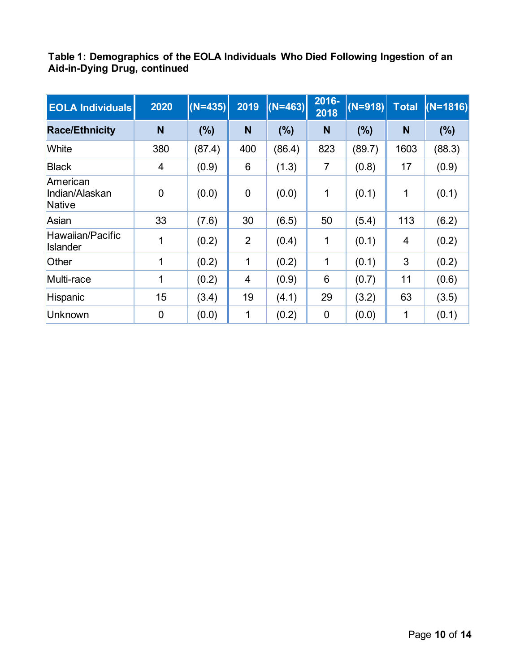<span id="page-9-0"></span>**Table 1: Demographics of the EOLA Individuals Who Died Following Ingestion of an Aid-in-Dying Drug, continued**

| <b>EOLA Individuals</b>                     | 2020        | $(N=435)$ | 2019           | $(N=463)$ | 2016-<br>2018  | $(N=918)$ | <b>Total</b> | $(N=1816)$ |
|---------------------------------------------|-------------|-----------|----------------|-----------|----------------|-----------|--------------|------------|
| <b>Race/Ethnicity</b>                       | N           | (%)       | N              | (%)       | N              | (%)       | N            | (% )       |
| White                                       | 380         | (87.4)    | 400            | (86.4)    | 823            | (89.7)    | 1603         | (88.3)     |
| <b>Black</b>                                | 4           | (0.9)     | 6              | (1.3)     | $\overline{7}$ | (0.8)     | 17           | (0.9)      |
| American<br>Indian/Alaskan<br><b>Native</b> | $\mathbf 0$ | (0.0)     | $\mathbf 0$    | (0.0)     | 1              | (0.1)     | 1            | (0.1)      |
| Asian                                       | 33          | (7.6)     | 30             | (6.5)     | 50             | (5.4)     | 113          | (6.2)      |
| Hawaiian/Pacific<br><b>Islander</b>         | 1           | (0.2)     | $\overline{2}$ | (0.4)     | 1              | (0.1)     | 4            | (0.2)      |
| Other                                       | 1           | (0.2)     | 1              | (0.2)     | 1              | (0.1)     | 3            | (0.2)      |
| Multi-race                                  | 1           | (0.2)     | 4              | (0.9)     | 6              | (0.7)     | 11           | (0.6)      |
| Hispanic                                    | 15          | (3.4)     | 19             | (4.1)     | 29             | (3.2)     | 63           | (3.5)      |
| Unknown                                     | $\mathbf 0$ | (0.0)     | 1              | (0.2)     | $\overline{0}$ | (0.0)     | 1            | (0.1)      |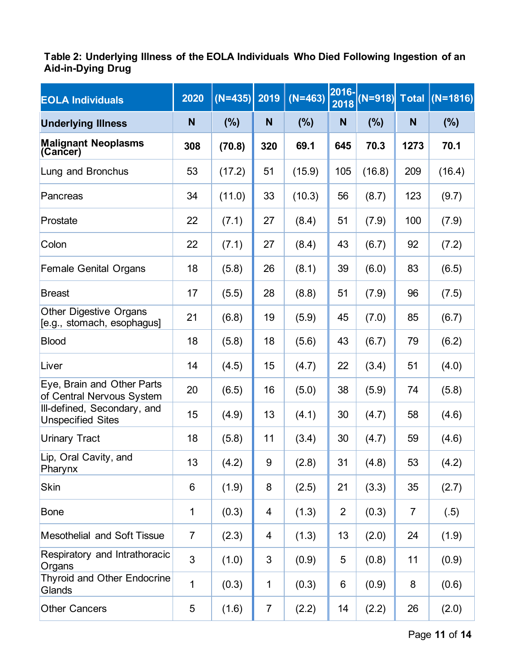## <span id="page-10-0"></span>**Table 2: Underlying Illness of the EOLA Individuals Who Died Following Ingestion of an Aid-in-Dying Drug**

| <b>EOLA Individuals</b>                                     | 2020           | $(N=435)$ | 2019           | $(N=463)$ | 2016-<br>2018  | $(N=918)$ Total |      | $(N=1816)$ |
|-------------------------------------------------------------|----------------|-----------|----------------|-----------|----------------|-----------------|------|------------|
| <b>Underlying Illness</b>                                   | N              | (%)       | N              | (%)       | N              | (%)             | N    | (%)        |
| <b>Malignant Neoplasms</b><br>(Cancer)                      | 308            | (70.8)    | 320            | 69.1      | 645            | 70.3            | 1273 | 70.1       |
| Lung and Bronchus                                           | 53             | (17.2)    | 51             | (15.9)    | 105            | (16.8)          | 209  | (16.4)     |
| Pancreas                                                    | 34             | (11.0)    | 33             | (10.3)    | 56             | (8.7)           | 123  | (9.7)      |
| Prostate                                                    | 22             | (7.1)     | 27             | (8.4)     | 51             | (7.9)           | 100  | (7.9)      |
| Colon                                                       | 22             | (7.1)     | 27             | (8.4)     | 43             | (6.7)           | 92   | (7.2)      |
| <b>Female Genital Organs</b>                                | 18             | (5.8)     | 26             | (8.1)     | 39             | (6.0)           | 83   | (6.5)      |
| <b>Breast</b>                                               | 17             | (5.5)     | 28             | (8.8)     | 51             | (7.9)           | 96   | (7.5)      |
| <b>Other Digestive Organs</b><br>[e.g., stomach, esophagus] | 21             | (6.8)     | 19             | (5.9)     | 45             | (7.0)           | 85   | (6.7)      |
| <b>Blood</b>                                                | 18             | (5.8)     | 18             | (5.6)     | 43             | (6.7)           | 79   | (6.2)      |
| Liver                                                       | 14             | (4.5)     | 15             | (4.7)     | 22             | (3.4)           | 51   | (4.0)      |
| Eye, Brain and Other Parts<br>of Central Nervous System     | 20             | (6.5)     | 16             | (5.0)     | 38             | (5.9)           | 74   | (5.8)      |
| Ill-defined, Secondary, and<br><b>Unspecified Sites</b>     | 15             | (4.9)     | 13             | (4.1)     | 30             | (4.7)           | 58   | (4.6)      |
| <b>Urinary Tract</b>                                        | 18             | (5.8)     | 11             | (3.4)     | 30             | (4.7)           | 59   | (4.6)      |
| Lip, Oral Cavity, and<br>Pharynx                            | 13             | (4.2)     | 9              | (2.8)     | 31             | (4.8)           | 53   | (4.2)      |
| <b>Skin</b>                                                 | 6              | (1.9)     | 8              | (2.5)     | 21             | (3.3)           | 35   | (2.7)      |
| <b>Bone</b>                                                 | $\mathbf 1$    | (0.3)     | 4              | (1.3)     | $\overline{2}$ | (0.3)           | 7    | (.5)       |
| <b>Mesothelial and Soft Tissue</b>                          | $\overline{7}$ | (2.3)     | 4              | (1.3)     | 13             | (2.0)           | 24   | (1.9)      |
| Respiratory and Intrathoracic<br>Organs                     | 3              | (1.0)     | 3              | (0.9)     | 5              | (0.8)           | 11   | (0.9)      |
| <b>Thyroid and Other Endocrine</b><br>Glands                | 1              | (0.3)     | 1              | (0.3)     | 6              | (0.9)           | 8    | (0.6)      |
| <b>Other Cancers</b>                                        | 5              | (1.6)     | $\overline{7}$ | (2.2)     | 14             | (2.2)           | 26   | (2.0)      |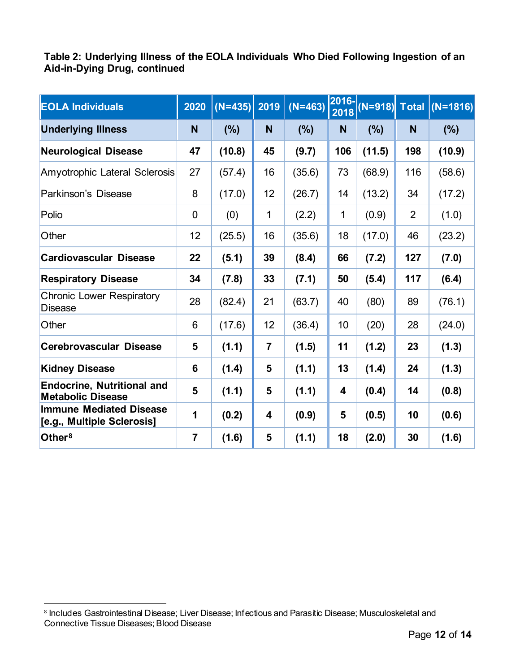<span id="page-11-0"></span>**Table 2: Underlying Illness of the EOLA Individuals Who Died Following Ingestion of an Aid-in-Dying Drug, continued**

| <b>EOLA Individuals</b>                                       | 2020           | $(N=435)$ 2019 |                | $(N=463)$ | $ 2016- $<br>2018 |        |                | (N=918) Total (N=1816) |
|---------------------------------------------------------------|----------------|----------------|----------------|-----------|-------------------|--------|----------------|------------------------|
| <b>Underlying Illness</b>                                     | N              | (%)            | $\mathsf{N}$   | (%)       | N                 | (%)    | N              | $(\%)$                 |
| <b>Neurological Disease</b>                                   | 47             | (10.8)         | 45             | (9.7)     | 106               | (11.5) | 198            | (10.9)                 |
| Amyotrophic Lateral Sclerosis                                 | 27             | (57.4)         | 16             | (35.6)    | 73                | (68.9) | 116            | (58.6)                 |
| Parkinson's Disease                                           | 8              | (17.0)         | 12             | (26.7)    | 14                | (13.2) | 34             | (17.2)                 |
| Polio                                                         | $\mathbf 0$    | (0)            | 1              | (2.2)     | $\mathbf{1}$      | (0.9)  | $\overline{2}$ | (1.0)                  |
| Other                                                         | 12             | (25.5)         | 16             | (35.6)    | 18                | (17.0) | 46             | (23.2)                 |
| <b>Cardiovascular Disease</b>                                 | 22             | (5.1)          | 39             | (8.4)     | 66                | (7.2)  | 127            | (7.0)                  |
| <b>Respiratory Disease</b>                                    | 34             | (7.8)          | 33             | (7.1)     | 50                | (5.4)  | 117            | (6.4)                  |
| <b>Chronic Lower Respiratory</b><br><b>Disease</b>            | 28             | (82.4)         | 21             | (63.7)    | 40                | (80)   | 89             | (76.1)                 |
| Other                                                         | 6              | (17.6)         | 12             | (36.4)    | 10                | (20)   | 28             | (24.0)                 |
| <b>Cerebrovascular Disease</b>                                | 5              | (1.1)          | $\overline{7}$ | (1.5)     | 11                | (1.2)  | 23             | (1.3)                  |
| <b>Kidney Disease</b>                                         | 6              | (1.4)          | 5              | (1.1)     | 13                | (1.4)  | 24             | (1.3)                  |
| <b>Endocrine, Nutritional and</b><br><b>Metabolic Disease</b> | 5              | (1.1)          | 5              | (1.1)     | 4                 | (0.4)  | 14             | (0.8)                  |
| <b>Immune Mediated Disease</b><br>[e.g., Multiple Sclerosis]  | 1              | (0.2)          | 4              | (0.9)     | 5                 | (0.5)  | 10             | (0.6)                  |
| Other <sup>8</sup>                                            | $\overline{7}$ | (1.6)          | 5              | (1.1)     | 18                | (2.0)  | 30             | (1.6)                  |

<span id="page-11-1"></span><sup>8</sup> Includes Gastrointestinal Disease; Liver Disease; Infectious and Parasitic Disease; Musculoskeletal and Connective Tissue Diseases; Blood Disease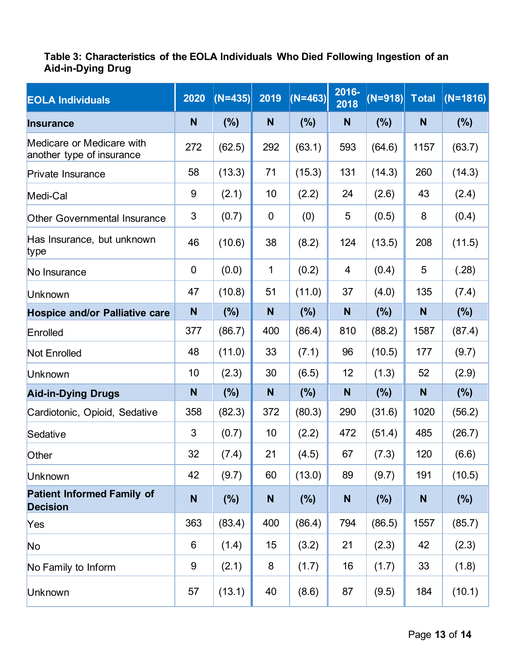# <span id="page-12-0"></span>**Table 3: Characteristics of the EOLA Individuals Who Died Following Ingestion of an Aid-in-Dying Drug**

| <b>EOLA Individuals</b>                                | 2020             | $(N=435)$ | 2019         | $(N=463)$ | 2016-<br>2018 | $(N=918)$ | <b>Total</b> | $(N=1816)$ |
|--------------------------------------------------------|------------------|-----------|--------------|-----------|---------------|-----------|--------------|------------|
| <b>Insurance</b>                                       | N                | (%)       | $\mathsf{N}$ | (%)       | N             | (%)       | N            | (%)        |
| Medicare or Medicare with<br>another type of insurance | 272              | (62.5)    | 292          | (63.1)    | 593           | (64.6)    | 1157         | (63.7)     |
| Private Insurance                                      | 58               | (13.3)    | 71           | (15.3)    | 131           | (14.3)    | 260          | (14.3)     |
| Medi-Cal                                               | $9\,$            | (2.1)     | 10           | (2.2)     | 24            | (2.6)     | 43           | (2.4)      |
| <b>Other Governmental Insurance</b>                    | $\mathfrak{S}$   | (0.7)     | $\mathbf 0$  | (0)       | 5             | (0.5)     | 8            | (0.4)      |
| Has Insurance, but unknown<br>type                     | 46               | (10.6)    | 38           | (8.2)     | 124           | (13.5)    | 208          | (11.5)     |
| No Insurance                                           | $\mathbf 0$      | (0.0)     | 1            | (0.2)     | 4             | (0.4)     | 5            | (.28)      |
| Unknown                                                | 47               | (10.8)    | 51           | (11.0)    | 37            | (4.0)     | 135          | (7.4)      |
| <b>Hospice and/or Palliative care</b>                  | $\mathsf{N}$     | (%)       | N            | $(\%)$    | N             | (%)       | N            | $(\%)$     |
| Enrolled                                               | 377              | (86.7)    | 400          | (86.4)    | 810           | (88.2)    | 1587         | (87.4)     |
| <b>Not Enrolled</b>                                    | 48               | (11.0)    | 33           | (7.1)     | 96            | (10.5)    | 177          | (9.7)      |
| <b>Unknown</b>                                         | 10               | (2.3)     | 30           | (6.5)     | 12            | (1.3)     | 52           | (2.9)      |
| <b>Aid-in-Dying Drugs</b>                              | N                | (%)       | N            | (%)       | N             | (%)       | N            | (%)        |
| Cardiotonic, Opioid, Sedative                          | 358              | (82.3)    | 372          | (80.3)    | 290           | (31.6)    | 1020         | (56.2)     |
| Sedative                                               | 3                | (0.7)     | 10           | (2.2)     | 472           | (51.4)    | 485          | (26.7)     |
| Other                                                  | 32               | (7.4)     | 21           | (4.5)     | 67            | (7.3)     | 120          | (6.6)      |
| <b>Unknown</b>                                         | 42               | (9.7)     | 60           | (13.0)    | 89            | (9.7)     | 191          | (10.5)     |
| <b>Patient Informed Family of</b><br><b>Decision</b>   | $\mathsf{N}$     | (%)       | ${\sf N}$    | (%)       | N             | (%)       | N            | (%)        |
| Yes                                                    | 363              | (83.4)    | 400          | (86.4)    | 794           | (86.5)    | 1557         | (85.7)     |
| No                                                     | 6                | (1.4)     | 15           | (3.2)     | 21            | (2.3)     | 42           | (2.3)      |
| No Family to Inform                                    | $\boldsymbol{9}$ | (2.1)     | 8            | (1.7)     | 16            | (1.7)     | 33           | (1.8)      |
| Unknown                                                | 57               | (13.1)    | 40           | (8.6)     | 87            | (9.5)     | 184          | (10.1)     |